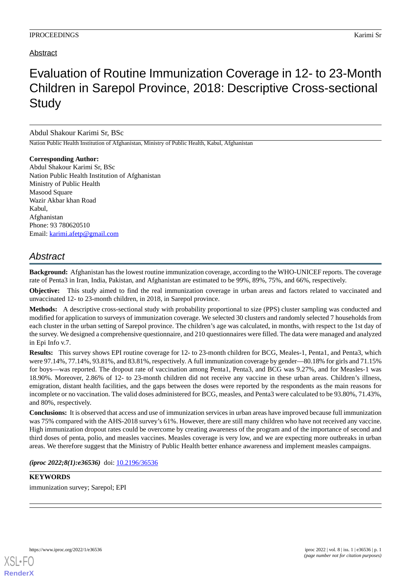## Abstract

# Evaluation of Routine Immunization Coverage in 12- to 23-Month Children in Sarepol Province, 2018: Descriptive Cross-sectional **Study**

### Abdul Shakour Karimi Sr, BSc

Nation Public Health Institution of Afghanistan, Ministry of Public Health, Kabul, Afghanistan

**Corresponding Author:** Abdul Shakour Karimi Sr, BSc Nation Public Health Institution of Afghanistan Ministry of Public Health Masood Square Wazir Akbar khan Road Kabul, Afghanistan Phone: 93 780620510 Email: [karimi.afetp@gmail.com](mailto:karimi.afetp@gmail.com)

## *Abstract*

**Background:** Afghanistan has the lowest routine immunization coverage, according to the WHO-UNICEF reports. The coverage rate of Penta3 in Iran, India, Pakistan, and Afghanistan are estimated to be 99%, 89%, 75%, and 66%, respectively.

**Objective:** This study aimed to find the real immunization coverage in urban areas and factors related to vaccinated and unvaccinated 12- to 23-month children, in 2018, in Sarepol province.

**Methods:** A descriptive cross-sectional study with probability proportional to size (PPS) cluster sampling was conducted and modified for application to surveys of immunization coverage. We selected 30 clusters and randomly selected 7 households from each cluster in the urban setting of Sarepol province. The children's age was calculated, in months, with respect to the 1st day of the survey. We designed a comprehensive questionnaire, and 210 questionnaires were filled. The data were managed and analyzed in Epi Info v.7.

**Results:** This survey shows EPI routine coverage for 12- to 23-month children for BCG, Meales-1, Penta1, and Penta3, which were 97.14%, 77.14%, 93.81%, and 83.81%, respectively. A full immunization coverage by gender—80.18% for girls and 71.15% for boys—was reported. The dropout rate of vaccination among Penta1, Penta3, and BCG was 9.27%, and for Measles-1 was 18.90%. Moreover, 2.86% of 12- to 23-month children did not receive any vaccine in these urban areas. Children's illness, emigration, distant health facilities, and the gaps between the doses were reported by the respondents as the main reasons for incomplete or no vaccination. The valid doses administered for BCG, measles, and Penta3 were calculated to be 93.80%, 71.43%, and 80%, respectively.

**Conclusions:** It is observed that access and use of immunization services in urban areas have improved because full immunization was 75% compared with the AHS-2018 survey's 61%. However, there are still many children who have not received any vaccine. High immunization dropout rates could be overcome by creating awareness of the program and of the importance of second and third doses of penta, polio, and measles vaccines. Measles coverage is very low, and we are expecting more outbreaks in urban areas. We therefore suggest that the Ministry of Public Health better enhance awareness and implement measles campaigns.

*(iproc 2022;8(1):e36536)* doi: [10.2196/36536](http://dx.doi.org/10.2196/36536)

## **KEYWORDS**

immunization survey; Sarepol; EPI